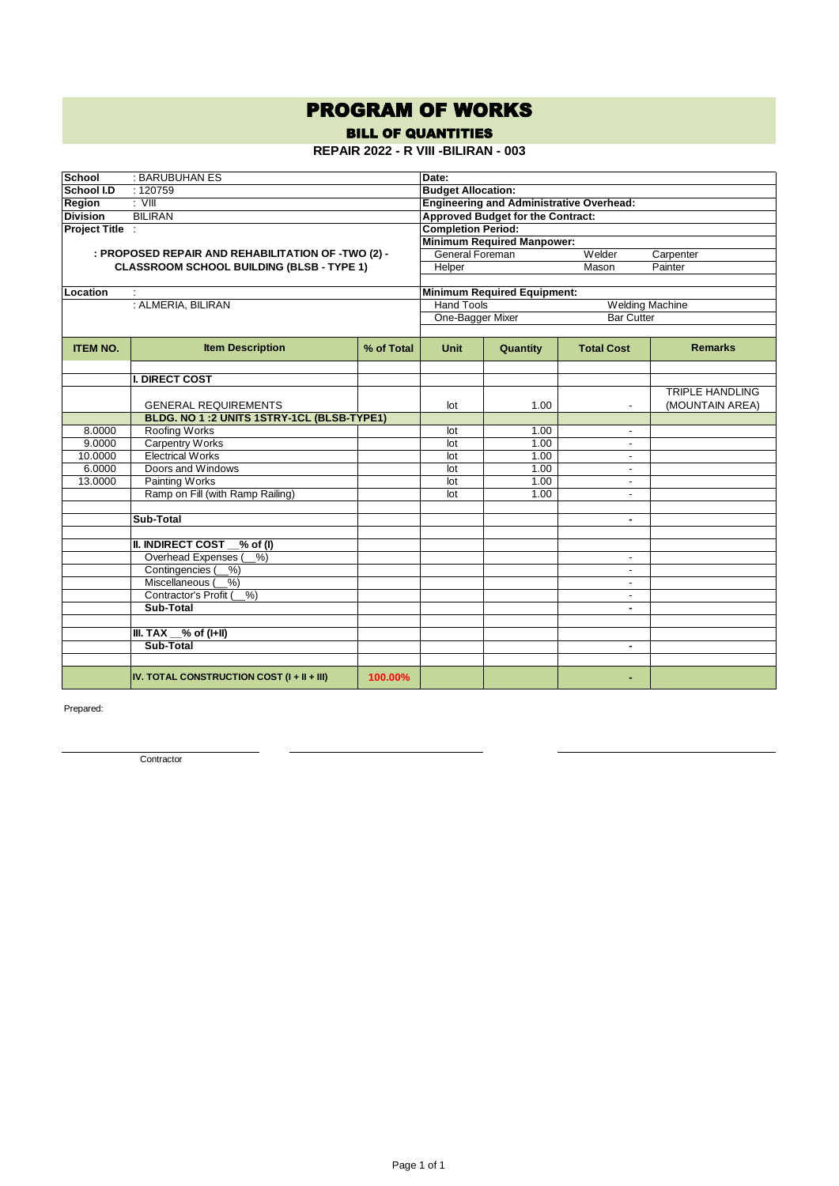## PROGRAM OF WORKS

BILL OF QUANTITIES

**REPAIR 2022 - R VIII -BILIRAN - 003**

| <b>School</b>   | : BARUBUHAN ES                                     | Date:                                           |                                             |                                          |                          |                        |  |  |  |
|-----------------|----------------------------------------------------|-------------------------------------------------|---------------------------------------------|------------------------------------------|--------------------------|------------------------|--|--|--|
| School I.D      | :120759                                            | <b>Budget Allocation:</b>                       |                                             |                                          |                          |                        |  |  |  |
| Region          | $:$ VIII                                           | <b>Engineering and Administrative Overhead:</b> |                                             |                                          |                          |                        |  |  |  |
| <b>Division</b> | <b>BILIRAN</b>                                     |                                                 |                                             | <b>Approved Budget for the Contract:</b> |                          |                        |  |  |  |
| Project Title : |                                                    |                                                 | <b>Completion Period:</b>                   |                                          |                          |                        |  |  |  |
|                 |                                                    |                                                 |                                             | <b>Minimum Required Manpower:</b>        |                          |                        |  |  |  |
|                 | : PROPOSED REPAIR AND REHABILITATION OF -TWO (2) - |                                                 | General Foreman<br>Welder<br>Carpenter      |                                          |                          |                        |  |  |  |
|                 | <b>CLASSROOM SCHOOL BUILDING (BLSB - TYPE 1)</b>   |                                                 | Helper                                      |                                          | Painter<br>Mason         |                        |  |  |  |
|                 |                                                    |                                                 |                                             |                                          |                          |                        |  |  |  |
| Location        |                                                    |                                                 |                                             | <b>Minimum Required Equipment:</b>       |                          |                        |  |  |  |
|                 | : ALMERIA, BILIRAN                                 |                                                 | <b>Hand Tools</b><br><b>Welding Machine</b> |                                          |                          |                        |  |  |  |
|                 |                                                    |                                                 | One-Bagger Mixer                            |                                          | <b>Bar Cutter</b>        |                        |  |  |  |
|                 |                                                    |                                                 |                                             |                                          |                          |                        |  |  |  |
| <b>ITEM NO.</b> | <b>Item Description</b>                            | % of Total                                      | <b>Unit</b>                                 | Quantity                                 | <b>Total Cost</b>        | <b>Remarks</b>         |  |  |  |
|                 |                                                    |                                                 |                                             |                                          |                          |                        |  |  |  |
|                 | <b>I. DIRECT COST</b>                              |                                                 |                                             |                                          |                          |                        |  |  |  |
|                 |                                                    |                                                 |                                             |                                          |                          | <b>TRIPLE HANDLING</b> |  |  |  |
|                 | <b>GENERAL REQUIREMENTS</b>                        |                                                 | lot                                         | 1.00                                     |                          | (MOUNTAIN AREA)        |  |  |  |
|                 | BLDG. NO 1:2 UNITS 1STRY-1CL (BLSB-TYPE1)          |                                                 |                                             |                                          |                          |                        |  |  |  |
| 8.0000          | Roofing Works                                      |                                                 | lot                                         | 1.00                                     | $\blacksquare$           |                        |  |  |  |
| 9.0000          | <b>Carpentry Works</b>                             |                                                 | lot                                         | 1.00                                     | $\blacksquare$           |                        |  |  |  |
| 10.0000         | <b>Electrical Works</b>                            |                                                 | lot                                         | 1.00                                     | $\overline{\phantom{a}}$ |                        |  |  |  |
| 6.0000          | Doors and Windows                                  |                                                 | lot                                         | 1.00                                     |                          |                        |  |  |  |
| 13.0000         | Painting Works                                     |                                                 | lot                                         | 1.00                                     | $\blacksquare$           |                        |  |  |  |
|                 | Ramp on Fill (with Ramp Railing)                   |                                                 | lot                                         | 1.00                                     | $\overline{a}$           |                        |  |  |  |
|                 |                                                    |                                                 |                                             |                                          |                          |                        |  |  |  |
|                 | Sub-Total                                          |                                                 |                                             |                                          | ٠                        |                        |  |  |  |
|                 | <b>II. INDIRECT COST</b><br>$%$ of (I)             |                                                 |                                             |                                          |                          |                        |  |  |  |
|                 | Overhead Expenses<br>$\sqrt[6]{6}$                 |                                                 |                                             |                                          | $\overline{\phantom{a}}$ |                        |  |  |  |
|                 | Contingencies (<br>%                               |                                                 |                                             |                                          | $\blacksquare$           |                        |  |  |  |
|                 | Miscellaneous (<br>$\sqrt[6]{6}$                   |                                                 |                                             |                                          | $\blacksquare$           |                        |  |  |  |
|                 | Contractor's Profit<br>$\sqrt[6]{6}$               |                                                 |                                             |                                          | $\overline{\phantom{a}}$ |                        |  |  |  |
|                 | Sub-Total                                          |                                                 |                                             |                                          | ٠                        |                        |  |  |  |
|                 |                                                    |                                                 |                                             |                                          |                          |                        |  |  |  |
|                 | $%$ of (I+II)<br>III. TAX                          |                                                 |                                             |                                          |                          |                        |  |  |  |
|                 | Sub-Total                                          |                                                 |                                             |                                          | ٠                        |                        |  |  |  |
|                 |                                                    |                                                 |                                             |                                          |                          |                        |  |  |  |
|                 | IV. TOTAL CONSTRUCTION COST (I + II + III)         | 100.00%                                         |                                             |                                          |                          |                        |  |  |  |

Prepared:

**Contractor**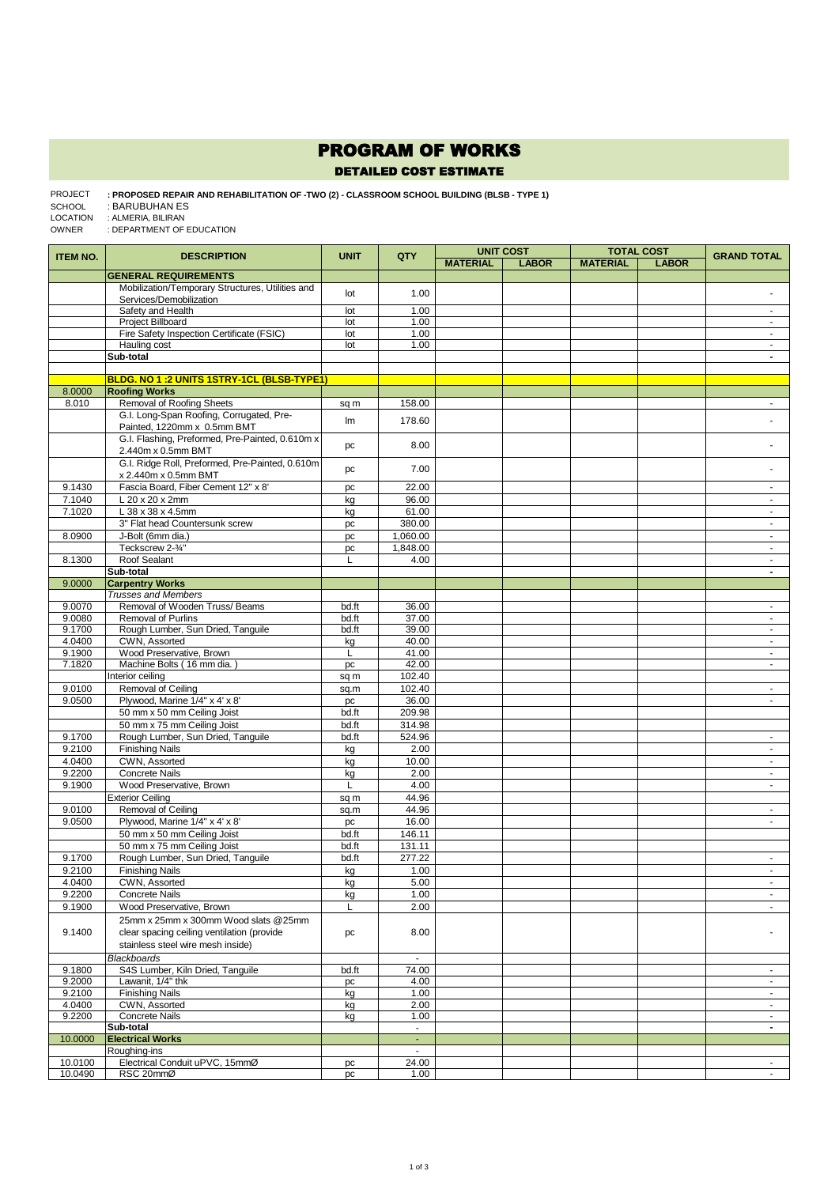## PROGRAM OF WORKS

DETAILED COST ESTIMATE

## **: PROPOSED REPAIR AND REHABILITATION OF -TWO (2) - CLASSROOM SCHOOL BUILDING (BLSB - TYPE 1)**  : BARUBUHAN ES : ALMERIA, BILIRAN PROJECT SCHOOL LOCATION

: DEPARTMENT OF EDUCATION OWNER

| <b>ITEM NO.</b>  | <b>DESCRIPTION</b>                                          | <b>UNIT</b> | QTY            | <b>UNIT COST</b> |              | <b>TOTAL COST</b> |              | <b>GRAND TOTAL</b>         |
|------------------|-------------------------------------------------------------|-------------|----------------|------------------|--------------|-------------------|--------------|----------------------------|
|                  |                                                             |             |                | <b>MATERIAL</b>  | <b>LABOR</b> | <b>MATERIAL</b>   | <b>LABOR</b> |                            |
|                  | <b>GENERAL REQUIREMENTS</b>                                 |             |                |                  |              |                   |              |                            |
|                  | Mobilization/Temporary Structures, Utilities and            | lot         | 1.00           |                  |              |                   |              |                            |
|                  | Services/Demobilization                                     |             |                |                  |              |                   |              |                            |
|                  | Safety and Health                                           | lot         | 1.00           |                  |              |                   |              | $\blacksquare$             |
|                  | Project Billboard                                           | lot         | 1.00           |                  |              |                   |              | ÷.                         |
|                  | Fire Safety Inspection Certificate (FSIC)                   | lot         | 1.00           |                  |              |                   |              | ä,                         |
|                  | Hauling cost<br>Sub-total                                   | lot         | 1.00           |                  |              |                   |              | $\omega$<br>$\blacksquare$ |
|                  |                                                             |             |                |                  |              |                   |              |                            |
|                  | BLDG. NO 1:2 UNITS 1STRY-1CL (BLSB-TYPE1)                   |             |                |                  |              |                   |              |                            |
| 8.0000           | <b>Roofing Works</b>                                        |             |                |                  |              |                   |              |                            |
| 8.010            | Removal of Roofing Sheets                                   | sq m        | 158.00         |                  |              |                   |              | $\blacksquare$             |
|                  | G.I. Long-Span Roofing, Corrugated, Pre-                    |             |                |                  |              |                   |              |                            |
|                  | Painted, 1220mm x 0.5mm BMT                                 | lm          | 178.60         |                  |              |                   |              |                            |
|                  | G.I. Flashing, Preformed, Pre-Painted, 0.610m x             |             |                |                  |              |                   |              |                            |
|                  | 2.440m x 0.5mm BMT                                          | pc          | 8.00           |                  |              |                   |              |                            |
|                  | G.I. Ridge Roll, Preformed, Pre-Painted, 0.610m             |             |                |                  |              |                   |              |                            |
|                  | x 2.440m x 0.5mm BMT                                        | pc          | 7.00           |                  |              |                   |              |                            |
| 9.1430           | Fascia Board, Fiber Cement 12" x 8'                         | pc          | 22.00          |                  |              |                   |              | $\sim$                     |
| 7.1040           | L 20 x 20 x 2mm                                             | kg          | 96.00          |                  |              |                   |              | $\blacksquare$             |
| 7.1020           | L 38 x 38 x 4.5mm                                           | kg          | 61.00          |                  |              |                   |              | $\blacksquare$             |
|                  | 3" Flat head Countersunk screw                              | pc          | 380.00         |                  |              |                   |              | ä,                         |
| 8.0900           | J-Bolt (6mm dia.)                                           |             | 1,060.00       |                  |              |                   |              | ÷.                         |
|                  | Teckscrew 2-3/4"                                            | pc          | 1,848.00       |                  |              |                   |              | $\omega$                   |
|                  |                                                             | pc          |                |                  |              |                   |              | ÷.                         |
| 8.1300           | Roof Sealant<br>Sub-total                                   | L           | 4.00           |                  |              |                   |              | $\overline{\phantom{a}}$   |
| 9.0000           | <b>Carpentry Works</b>                                      |             |                |                  |              |                   |              |                            |
|                  | <b>Trusses and Members</b>                                  |             |                |                  |              |                   |              |                            |
| 9.0070           |                                                             | bd.ft       | 36.00          |                  |              |                   |              | $\sim$                     |
| 9.0080           | Removal of Wooden Truss/ Beams<br><b>Removal of Purlins</b> |             | 37.00          |                  |              |                   |              |                            |
|                  |                                                             | bd.ft       |                |                  |              |                   |              | $\blacksquare$             |
| 9.1700<br>4.0400 | Rough Lumber, Sun Dried, Tanguile<br>CWN, Assorted          | bd.ft       | 39.00<br>40.00 |                  |              |                   |              | $\blacksquare$<br>÷.       |
| 9.1900           | Wood Preservative, Brown                                    | kg<br>L     | 41.00          |                  |              |                   |              | ÷.                         |
| 7.1820           | Machine Bolts (16 mm dia.)                                  | pc          | 42.00          |                  |              |                   |              | $\sim$                     |
|                  | Interior ceiling                                            |             | 102.40         |                  |              |                   |              |                            |
| 9.0100           | Removal of Ceiling                                          | sq m        | 102.40         |                  |              |                   |              | $\blacksquare$             |
| 9.0500           |                                                             | sq.m        | 36.00          |                  |              |                   |              | ä,                         |
|                  | Plywood, Marine 1/4" x 4' x 8'                              | pc          |                |                  |              |                   |              |                            |
|                  | 50 mm x 50 mm Ceiling Joist                                 | bd.ft       | 209.98         |                  |              |                   |              |                            |
|                  | 50 mm x 75 mm Ceiling Joist                                 | bd.ft       | 314.98         |                  |              |                   |              |                            |
| 9.1700           | Rough Lumber, Sun Dried, Tanguile                           | bd.ft       | 524.96         |                  |              |                   |              | $\blacksquare$             |
| 9.2100           | <b>Finishing Nails</b>                                      | kg          | 2.00           |                  |              |                   |              | $\sim$                     |
| 4.0400           | CWN, Assorted                                               | kg          | 10.00          |                  |              |                   |              | $\blacksquare$             |
| 9.2200           | <b>Concrete Nails</b>                                       | kg          | 2.00           |                  |              |                   |              | $\blacksquare$             |
| 9.1900           | Wood Preservative, Brown                                    | L           | 4.00           |                  |              |                   |              | ÷.                         |
|                  | <b>Exterior Ceiling</b>                                     | sq m        | 44.96          |                  |              |                   |              |                            |
| 9.0100           | Removal of Ceiling                                          | sq.m        | 44.96          |                  |              |                   |              | $\sim$                     |
| 9.0500           | Plywood, Marine 1/4" x 4' x 8'                              | pc          | 16.00          |                  |              |                   |              | $\blacksquare$             |
|                  | 50 mm x 50 mm Ceiling Joist                                 | bd.ft       | 146.11         |                  |              |                   |              |                            |
|                  | 50 mm x 75 mm Ceiling Joist                                 | bd.ft       | 131.11         |                  |              |                   |              |                            |
| 9.1700           | Rough Lumber, Sun Dried, Tanguile                           | bd.ft       | 277.22         |                  |              |                   |              | $\blacksquare$             |
| 9.2100           | <b>Finishing Nails</b>                                      | kg          | 1.00           |                  |              |                   |              | ä,                         |
| 4.0400           | CWN, Assorted                                               | kg          | 5.00           |                  |              |                   |              |                            |
| 9.2200           | Concrete Nails                                              | kg          | 1.00           |                  |              |                   |              | $\omega$                   |
| 9.1900           | Wood Preservative, Brown                                    | L           | 2.00           |                  |              |                   |              | $\sim$                     |
|                  | 25mm x 25mm x 300mm Wood slats @25mm                        |             |                |                  |              |                   |              |                            |
| 9.1400           | clear spacing ceiling ventilation (provide                  | pc          | 8.00           |                  |              |                   |              |                            |
|                  | stainless steel wire mesh inside)                           |             |                |                  |              |                   |              |                            |
|                  | <b>Blackboards</b>                                          |             | ÷.             |                  |              |                   |              |                            |
| 9.1800           | S4S Lumber, Kiln Dried, Tanguile                            | bd.ft       | 74.00          |                  |              |                   |              | $\sim$                     |
| 9.2000           | Lawanit, 1/4" thk                                           | pc          | 4.00           |                  |              |                   |              | $\sim$                     |
| 9.2100           | <b>Finishing Nails</b>                                      | kg          | 1.00           |                  |              |                   |              | $\blacksquare$             |
| 4.0400           | CWN, Assorted                                               | kg          | 2.00           |                  |              |                   |              | $\blacksquare$             |
| 9.2200           | <b>Concrete Nails</b>                                       | kg          | 1.00           |                  |              |                   |              | $\blacksquare$             |
|                  | Sub-total                                                   |             | $\blacksquare$ |                  |              |                   |              | $\blacksquare$             |
| 10.0000          | <b>Electrical Works</b>                                     |             | $\blacksquare$ |                  |              |                   |              |                            |
|                  | Roughing-ins                                                |             | $\mathbf{r}$   |                  |              |                   |              |                            |
| 10.0100          | Electrical Conduit uPVC, 15mmØ                              | pc          | 24.00          |                  |              |                   |              | $\blacksquare$             |
| 10.0490          | RSC 20mmØ                                                   | pc          | 1.00           |                  |              |                   |              | $\blacksquare$             |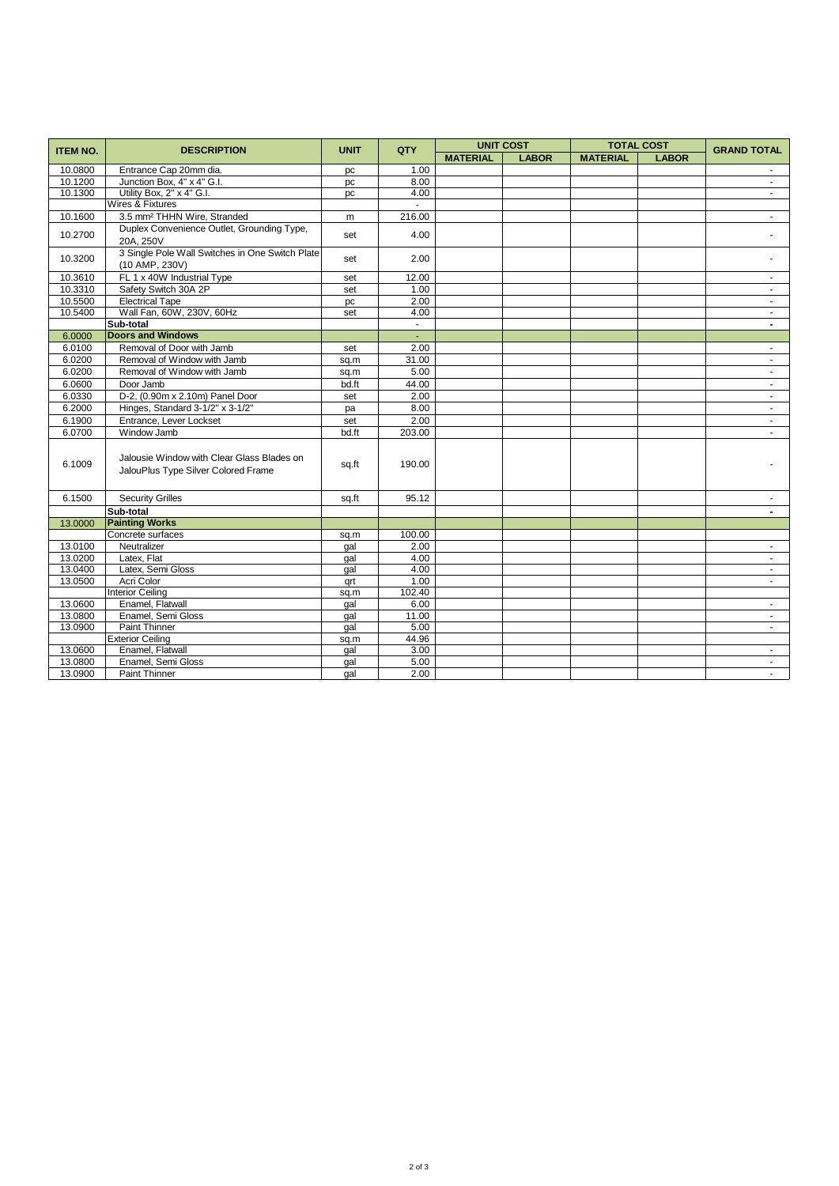| <b>ITEM NO.</b> | <b>DESCRIPTION</b>                                                                | <b>UNIT</b> | QTY    | <b>UNIT COST</b> |              | <b>TOTAL COST</b> |              | <b>GRAND TOTAL</b>       |
|-----------------|-----------------------------------------------------------------------------------|-------------|--------|------------------|--------------|-------------------|--------------|--------------------------|
|                 |                                                                                   |             |        | <b>MATERIAL</b>  | <b>LABOR</b> | <b>MATERIAL</b>   | <b>LABOR</b> |                          |
| 10.0800         | Entrance Cap 20mm dia.                                                            | pc          | 1.00   |                  |              |                   |              |                          |
| 10.1200         | Junction Box, 4" x 4" G.I.                                                        | pc          | 8.00   |                  |              |                   |              | $\blacksquare$           |
| 10.1300         | Utility Box, 2" x 4" G.I.                                                         | pc          | 4.00   |                  |              |                   |              | $\sim$                   |
|                 | Wires & Fixtures                                                                  |             | $\sim$ |                  |              |                   |              |                          |
| 10.1600         | 3.5 mm <sup>2</sup> THHN Wire, Stranded                                           | m           | 216.00 |                  |              |                   |              | $\sim$                   |
| 10.2700         | Duplex Convenience Outlet, Grounding Type,<br>20A, 250V                           | set         | 4.00   |                  |              |                   |              |                          |
| 10.3200         | 3 Single Pole Wall Switches in One Switch Plate<br>(10 AMP, 230V)                 | set         | 2.00   |                  |              |                   |              |                          |
| 10.3610         | FL 1 x 40W Industrial Type                                                        | set         | 12.00  |                  |              |                   |              | $\sim$                   |
| 10.3310         | Safety Switch 30A 2P                                                              | set         | 1.00   |                  |              |                   |              |                          |
| 10.5500         | <b>Electrical Tape</b>                                                            | pc          | 2.00   |                  |              |                   |              | $\sim$                   |
| 10.5400         | Wall Fan, 60W, 230V, 60Hz                                                         | set         | 4.00   |                  |              |                   |              | $\sim$                   |
|                 | Sub-total                                                                         |             | $\sim$ |                  |              |                   |              | $\overline{\phantom{0}}$ |
| 6.0000          | <b>Doors and Windows</b>                                                          |             | ÷.     |                  |              |                   |              |                          |
| 6.0100          | Removal of Door with Jamb                                                         | set         | 2.00   |                  |              |                   |              | $\blacksquare$           |
| 6.0200          | Removal of Window with Jamb                                                       | sq.m        | 31.00  |                  |              |                   |              | $\sim$                   |
| 6.0200          | Removal of Window with Jamb                                                       | sq.m        | 5.00   |                  |              |                   |              | $\sim$                   |
| 6.0600          | Door Jamb                                                                         | bd.ft       | 44.00  |                  |              |                   |              | $\blacksquare$           |
| 6.0330          | D-2, (0.90m x 2.10m) Panel Door                                                   | set         | 2.00   |                  |              |                   |              | $\sim$                   |
| 6.2000          | Hinges, Standard 3-1/2" x 3-1/2"                                                  | pa          | 8.00   |                  |              |                   |              | $\sim$                   |
| 6.1900          | Entrance, Lever Lockset                                                           | set         | 2.00   |                  |              |                   |              |                          |
| 6.0700          | Window Jamb                                                                       | bd.ft       | 203.00 |                  |              |                   |              | $\sim$                   |
| 6.1009          | Jalousie Window with Clear Glass Blades on<br>JalouPlus Type Silver Colored Frame | sq.ft       | 190.00 |                  |              |                   |              |                          |
| 6.1500          | <b>Security Grilles</b>                                                           | sq.ft       | 95.12  |                  |              |                   |              |                          |
|                 | Sub-total                                                                         |             |        |                  |              |                   |              | $\blacksquare$           |
| 13.0000         | <b>Painting Works</b>                                                             |             |        |                  |              |                   |              |                          |
|                 | Concrete surfaces                                                                 | sq.m        | 100.00 |                  |              |                   |              |                          |
| 13.0100         | Neutralizer                                                                       | gal         | 2.00   |                  |              |                   |              | $\sim$                   |
| 13.0200         | Latex, Flat                                                                       | qal         | 4.00   |                  |              |                   |              | $\sim$                   |
| 13.0400         | Latex, Semi Gloss                                                                 | gal         | 4.00   |                  |              |                   |              | $\sim$                   |
| 13.0500         | Acri Color                                                                        | qrt         | 1.00   |                  |              |                   |              | $\sim$                   |
|                 | <b>Interior Ceiling</b>                                                           | sq.m        | 102.40 |                  |              |                   |              |                          |
| 13.0600         | Enamel, Flatwall                                                                  | gal         | 6.00   |                  |              |                   |              | $\sim$                   |
| 13.0800         | Enamel, Semi Gloss                                                                | gal         | 11.00  |                  |              |                   |              | $\blacksquare$           |
| 13.0900         | <b>Paint Thinner</b>                                                              | qal         | 5.00   |                  |              |                   |              | $\sim$                   |
|                 | <b>Exterior Ceiling</b>                                                           | sq.m        | 44.96  |                  |              |                   |              |                          |
| 13.0600         | Enamel, Flatwall                                                                  | gal         | 3.00   |                  |              |                   |              | $\sim$                   |
| 13.0800         | Enamel, Semi Gloss                                                                | gal         | 5.00   |                  |              |                   |              | $\sim$                   |
| 13.0900         | <b>Paint Thinner</b>                                                              | gal         | 2.00   |                  |              |                   |              | $\sim$                   |